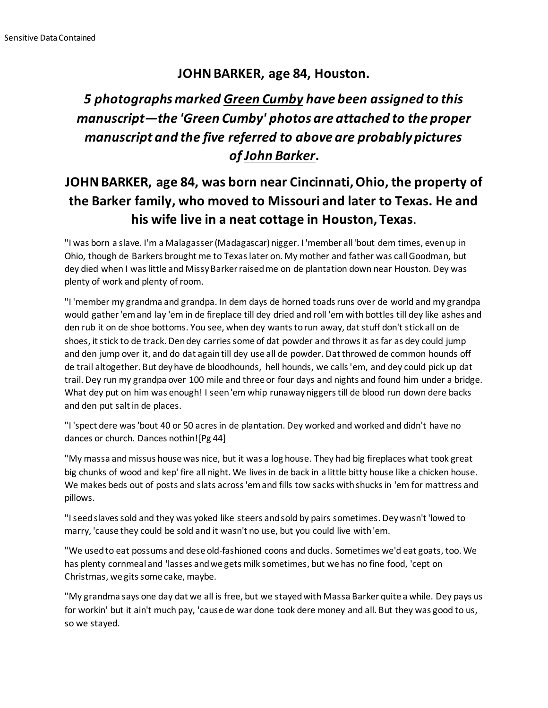## **JOHN BARKER, age 84, Houston.**

## *5 photographs marked Green Cumby have been assigned to this manuscript—the 'Green Cumby' photos are attached to the proper manuscript and the five referred to above are probably pictures of John Barker***.**

## **JOHN BARKER, age 84, was born near Cincinnati, Ohio, the property of the Barker family, who moved to Missouri and later to Texas. He and his wife live in a neat cottage in Houston, Texas.**

"I was born a slave. I'm a Malagasser (Madagascar) nigger. I 'member all 'bout dem times, even up in Ohio, though de Barkers brought me to Texas later on. My mother and father was call Goodman, but dey died when I was little and Missy Barker raised me on de plantation down near Houston. Dey was plenty of work and plenty of room.

"I 'member my grandma and grandpa. In dem days de horned toads runs over de world and my grandpa would gather 'em and lay 'em in de fireplace till dey dried and roll 'em with bottles till dey like ashes and den rub it on de shoe bottoms. You see, when dey wants to run away, dat stuff don't stick all on de shoes, it stick to de track. Den dey carries some of dat powder and throws it as far as dey could jump and den jump over it, and do dat again till dey use all de powder. Dat throwed de common hounds off de trail altogether. But dey have de bloodhounds, hell hounds, we calls 'em, and dey could pick up dat trail. Dey run my grandpa over 100 mile and three or four days and nights and found him under a bridge. What dey put on him was enough! I seen 'em whip runaway niggers till de blood run down dere backs and den put salt in de places.

"I 'spect dere was 'bout 40 or 50 acres in de plantation. Dey worked and worked and didn't have no dances or church. Dances nothin![Pg 44]

"My massa and missus house was nice, but it was a log house. They had big fireplaces what took great big chunks of wood and kep' fire all night. We lives in de back in a little bitty house like a chicken house. We makes beds out of posts and slats across 'em and fills tow sacks with shucks in 'em for mattress and pillows.

"I seed slaves sold and they was yoked like steers and sold by pairs sometimes. Dey wasn't 'lowed to marry, 'cause they could be sold and it wasn't no use, but you could live with 'em.

"We used to eat possums and dese old-fashioned coons and ducks. Sometimes we'd eat goats, too. We has plenty cornmeal and 'lasses and we gets milk sometimes, but we has no fine food, 'cept on Christmas, we gits some cake, maybe.

"My grandma says one day dat we all is free, but we stayed with Massa Barker quite a while. Dey pays us for workin' but it ain't much pay, 'cause de war done took dere money and all. But they was good to us, so we stayed.